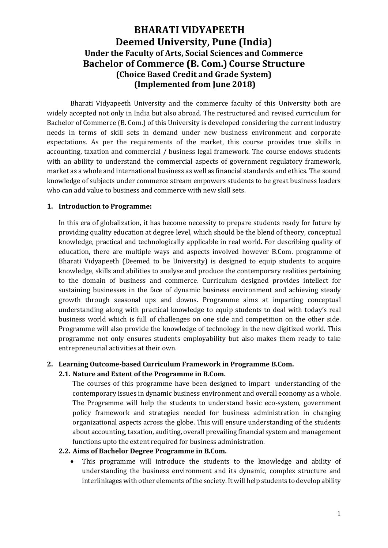# **BHARATI VIDYAPEETH Deemed University, Pune (India) Under the Faculty of Arts, Social Sciences and Commerce Bachelor of Commerce (B. Com.) Course Structure (Choice Based Credit and Grade System) (Implemented from June 2018)**

Bharati Vidyapeeth University and the commerce faculty of this University both are widely accepted not only in India but also abroad. The restructured and revised curriculum for Bachelor of Commerce (B. Com.) of this University is developed considering the current industry needs in terms of skill sets in demand under new business environment and corporate expectations. As per the requirements of the market, this course provides true skills in accounting, taxation and commercial / business legal framework. The course endows students with an ability to understand the commercial aspects of government regulatory framework, market as a whole and international business as well as financial standards and ethics. The sound knowledge of subjects under commerce stream empowers students to be great business leaders who can add value to business and commerce with new skill sets.

#### **1. Introduction to Programme:**

In this era of globalization, it has become necessity to prepare students ready for future by providing quality education at degree level, which should be the blend of theory, conceptual knowledge, practical and technologically applicable in real world. For describing quality of education, there are multiple ways and aspects involved however B.Com. programme of Bharati Vidyapeeth (Deemed to be University) is designed to equip students to acquire knowledge, skills and abilities to analyse and produce the contemporary realities pertaining to the domain of business and commerce. Curriculum designed provides intellect for sustaining businesses in the face of dynamic business environment and achieving steady growth through seasonal ups and downs. Programme aims at imparting conceptual understanding along with practical knowledge to equip students to deal with today's real business world which is full of challenges on one side and competition on the other side. Programme will also provide the knowledge of technology in the new digitized world. This programme not only ensures students employability but also makes them ready to take entrepreneurial activities at their own.

#### **2. Learning Outcome-based Curriculum Framework in Programme B.Com.**

#### **2.1. Nature and Extent of the Programme in B.Com.**

The courses of this programme have been designed to impart understanding of the contemporary issues in dynamic business environment and overall economy as a whole. The Programme will help the students to understand basic eco-system, government policy framework and strategies needed for business administration in changing organizational aspects across the globe. This will ensure understanding of the students about accounting, taxation, auditing, overall prevailing financial system and management functions upto the extent required for business administration.

#### **2.2. Aims of Bachelor Degree Programme in B.Com.**

This programme will introduce the students to the knowledge and ability of understanding the business environment and its dynamic, complex structure and interlinkages with other elements of the society. It will help students to develop ability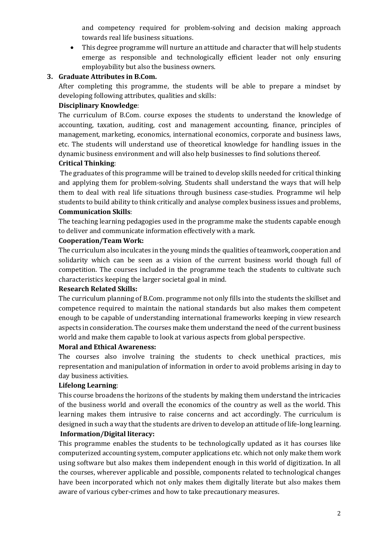and competency required for problem-solving and decision making approach towards real life business situations.

• This degree programme will nurture an attitude and character that will help students emerge as responsible and technologically efficient leader not only ensuring employability but also the business owners.

#### **3. Graduate Attributes in B.Com.**

After completing this programme, the students will be able to prepare a mindset by developing following attributes, qualities and skills:

### **Disciplinary Knowledge**:

The curriculum of B.Com. course exposes the students to understand the knowledge of accounting, taxation, auditing, cost and management accounting, finance, principles of management, marketing, economics, international economics, corporate and business laws, etc. The students will understand use of theoretical knowledge for handling issues in the dynamic business environment and will also help businesses to find solutions thereof.

### **Critical Thinking**:

The graduates of this programme will be trained to develop skills needed for critical thinking and applying them for problem-solving. Students shall understand the ways that will help them to deal with real life situations through business case-studies. Programme wil help students to build ability to think critically and analyse complex business issues and problems, **Communication Skills**:

The teaching learning pedagogies used in the programme make the students capable enough to deliver and communicate information effectively with a mark.

#### **Cooperation/Team Work:**

The curriculum also inculcates in the young minds the qualities of teamwork, cooperation and solidarity which can be seen as a vision of the current business world though full of competition. The courses included in the programme teach the students to cultivate such characteristics keeping the larger societal goal in mind.

#### **Research Related Skills:**

The curriculum planning of B.Com. programme not only fills into the students the skillset and competence required to maintain the national standards but also makes them competent enough to be capable of understanding international frameworks keeping in view research aspects in consideration. The courses make them understand the need of the current business world and make them capable to look at various aspects from global perspective.

#### **Moral and Ethical Awareness:**

The courses also involve training the students to check unethical practices, mis representation and manipulation of information in order to avoid problems arising in day to day business activities.

#### **Lifelong Learning**:

This course broadens the horizons of the students by making them understand the intricacies of the business world and overall the economics of the country as well as the world. This learning makes them intrusive to raise concerns and act accordingly. The curriculum is designed in such a way that the students are driven to develop an attitude of life-long learning. **Information/Digital literacy:**

This programme enables the students to be technologically updated as it has courses like computerized accounting system, computer applications etc. which not only make them work using software but also makes them independent enough in this world of digitization. In all the courses, wherever applicable and possible, components related to technological changes have been incorporated which not only makes them digitally literate but also makes them aware of various cyber-crimes and how to take precautionary measures.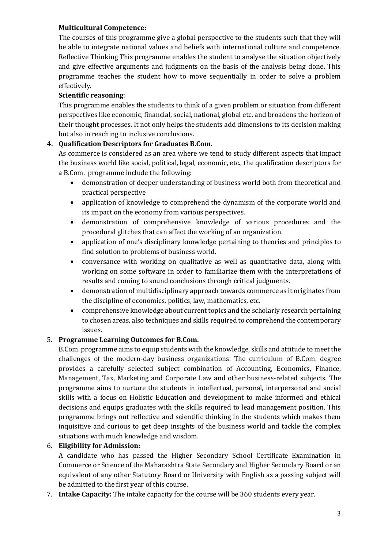### **Multicultural Competence:**

The courses of this programme give a global perspective to the students such that they will be able to integrate national values and beliefs with international culture and competence. Reflective Thinking This programme enables the student to analyse the situation objectively and give effective arguments and judgments on the basis of the analysis being done. This programme teaches the student how to move sequentially in order to solve a problem effectively.

### **Scientific reasoning**:

This programme enables the students to think of a given problem or situation from different perspectives like economic, financial, social, national, global etc. and broadens the horizon of their thought processes. It not only helps the students add dimensions to its decision making but also in reaching to inclusive conclusions.

### **4. Qualification Descriptors for Graduates B.Com.**

As commerce is considered as an area where we tend to study different aspects that impact the business world like social, political, legal, economic, etc., the qualification descriptors for a B.Com. programme include the following:

- demonstration of deeper understanding of business world both from theoretical and practical perspective
- application of knowledge to comprehend the dynamism of the corporate world and its impact on the economy from various perspectives.
- demonstration of comprehensive knowledge of various procedures and the procedural glitches that can affect the working of an organization.
- application of one's disciplinary knowledge pertaining to theories and principles to find solution to problems of business world.
- conversance with working on qualitative as well as quantitative data, along with working on some software in order to familiarize them with the interpretations of results and coming to sound conclusions through critical judgments.
- demonstration of multidisciplinary approach towards commerce as it originates from the discipline of economics, politics, law, mathematics, etc.
- comprehensive knowledge about current topics and the scholarly research pertaining to chosen areas, also techniques and skills required to comprehend the contemporary issues.

### 5. **Programme Learning Outcomes for B.Com.**

B.Com. programme aims to equip students with the knowledge, skills and attitude to meet the challenges of the modern-day business organizations. The curriculum of B.Com. degree provides a carefully selected subject combination of Accounting, Economics, Finance, Management, Tax, Marketing and Corporate Law and other business-related subjects. The programme aims to nurture the students in intellectual, personal, interpersonal and social skills with a focus on Holistic Education and development to make informed and ethical decisions and equips graduates with the skills required to lead management position. This programme brings out reflective and scientific thinking in the students which makes them inquisitive and curious to get deep insights of the business world and tackle the complex situations with much knowledge and wisdom.

#### 6. **Eligibility for Admission:**

A candidate who has passed the Higher Secondary School Certificate Examination in Commerce or Science of the Maharashtra State Secondary and Higher Secondary Board or an equivalent of any other Statutory Board or University with English as a passing subject will be admitted to the first year of this course.

7. **Intake Capacity:** The intake capacity for the course will be 360 students every year.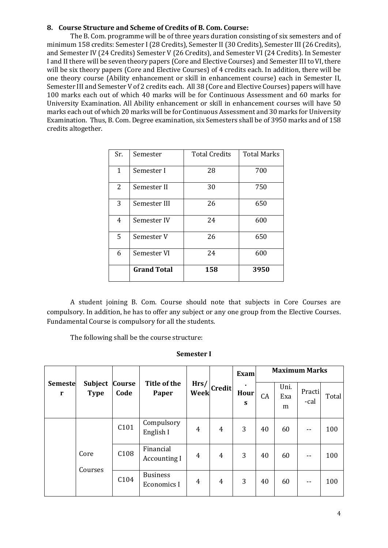#### **8. Course Structure and Scheme of Credits of B. Com. Course:**

The B. Com. programme will be of three years duration consisting of six semesters and of minimum 158 credits: Semester I (28 Credits), Semester II (30 Credits), Semester III (26 Credits), and Semester IV (24 Credits) Semester V (26 Credits), and Semester VI (24 Credits). In Semester I and II there will be seven theory papers (Core and Elective Courses) and Semester III to VI, there will be six theory papers (Core and Elective Courses) of 4 credits each. In addition, there will be one theory course (Ability enhancement or skill in enhancement course) each in Semester II, Semester III and Semester V of 2 credits each. All 38 (Core and Elective Courses) papers will have 100 marks each out of which 40 marks will be for Continuous Assessment and 60 marks for University Examination. All Ability enhancement or skill in enhancement courses will have 50 marks each out of which 20 marks will be for Continuous Assessment and 30 marks for University Examination. Thus, B. Com. Degree examination, six Semesters shall be of 3950 marks and of 158 credits altogether.

| Sr.            | Semester           | <b>Total Credits</b> | <b>Total Marks</b> |
|----------------|--------------------|----------------------|--------------------|
| 1              | Semester I         | 28                   | 700                |
| $\overline{2}$ | Semester II        | 30                   | 750                |
| 3              | Semester III       | 26                   | 650                |
| 4              | Semester IV        | 24                   | 600                |
| 5              | Semester V         | 26                   | 650                |
| 6              | Semester VI        | 24                   | 600                |
|                | <b>Grand Total</b> | 158                  | 3950               |

A student joining B. Com. Course should note that subjects in Core Courses are compulsory. In addition, he has to offer any subject or any one group from the Elective Courses. Fundamental Course is compulsory for all the students.

The following shall be the course structure:

#### **Semester I**

|                     |                               |                       | Title of the<br>Paper            |                |                | <b>Exam</b>                 | <b>Maximum Marks</b> |                  |                |       |  |
|---------------------|-------------------------------|-----------------------|----------------------------------|----------------|----------------|-----------------------------|----------------------|------------------|----------------|-------|--|
| <b>Semeste</b><br>r | <b>Subject</b><br><b>Type</b> | <b>Course</b><br>Code |                                  | Hrs/<br>Week   | <b>Credit</b>  | $\blacksquare$<br>Hour<br>S | CA                   | Uni.<br>Exa<br>m | Practi<br>-cal | Total |  |
|                     |                               | C101                  | Compulsory<br>English I          | 4              | $\overline{4}$ | 3                           | 40                   | 60               | $- -$          | 100   |  |
|                     | Core<br>Courses               | C <sub>108</sub>      | Financial<br><b>Accounting I</b> | 4              | $\overline{4}$ | 3                           | 40                   | 60               | $- -$          | 100   |  |
|                     |                               | C104                  | <b>Business</b><br>Economics I   | $\overline{4}$ | 4              | 3                           | 40                   | 60               | $- -$          | 100   |  |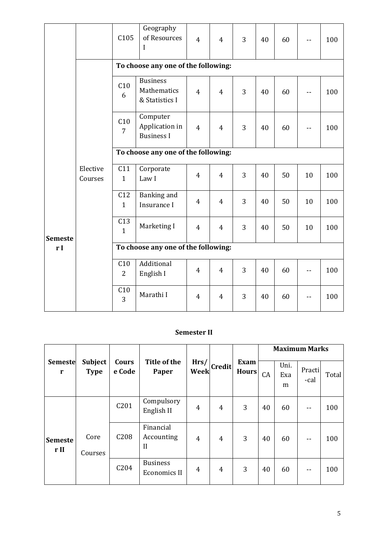|                |                     | C105                  | Geography<br>of Resources<br>I                   | $\overline{4}$ | $\overline{4}$ | 3 | 40 | 60 |    | 100 |
|----------------|---------------------|-----------------------|--------------------------------------------------|----------------|----------------|---|----|----|----|-----|
|                |                     |                       | To choose any one of the following:              |                |                |   |    |    |    |     |
|                |                     | C10<br>6              | <b>Business</b><br>Mathematics<br>& Statistics I | $\overline{4}$ | $\overline{4}$ | 3 | 40 | 60 |    | 100 |
|                |                     | C10<br>$\overline{7}$ | Computer<br>Application in<br><b>Business I</b>  | $\overline{4}$ | $\overline{4}$ | 3 | 40 | 60 |    | 100 |
|                |                     |                       | To choose any one of the following:              |                |                |   |    |    |    |     |
|                | Elective<br>Courses | C11<br>$\mathbf{1}$   | Corporate<br>Law I                               | $\overline{4}$ | $\overline{4}$ | 3 | 40 | 50 | 10 | 100 |
|                |                     | C12<br>$\mathbf{1}$   | Banking and<br>Insurance I                       | $\overline{4}$ | $\overline{4}$ | 3 | 40 | 50 | 10 | 100 |
| <b>Semeste</b> |                     | C13<br>$\mathbf{1}$   | Marketing I                                      | $\overline{4}$ | 4              | 3 | 40 | 50 | 10 | 100 |
| r I            |                     |                       | To choose any one of the following:              |                |                |   |    |    |    |     |
|                |                     | C10<br>$\overline{2}$ | Additional<br>English I                          | $\overline{4}$ | $\overline{4}$ | 3 | 40 | 60 |    | 100 |
|                |                     | C10<br>3              | Marathi I                                        | $\overline{4}$ | $\overline{4}$ | 3 | 40 | 60 | -- | 100 |

## **Semester II**

|                                |                               |                  |                                         |                |               |                      | <b>Maximum Marks</b> |                  |                |       |  |
|--------------------------------|-------------------------------|------------------|-----------------------------------------|----------------|---------------|----------------------|----------------------|------------------|----------------|-------|--|
| <b>Semeste</b><br>$\mathbf{r}$ | <b>Subject</b><br><b>Type</b> | Cours<br>e Code  | Title of the<br>Paper                   | Hrs/<br>Week   | <b>Credit</b> | Exam<br><b>Hours</b> | CA                   | Uni.<br>Exa<br>m | Practi<br>-cal | Total |  |
|                                |                               | C201             | Compulsory<br>English II                | 4              | 4             | 3                    | 40                   | 60               |                | 100   |  |
| <b>Semeste</b><br>r II         | Core<br>Courses               | C <sub>208</sub> | Financial<br>Accounting<br>$\mathbf{I}$ | $\overline{4}$ | 4             | 3                    | 40                   | 60               | $- -$          | 100   |  |
|                                |                               | C204             | <b>Business</b><br><b>Economics II</b>  | 4              | 4             | 3                    | 40                   | 60               | $- -$          | 100   |  |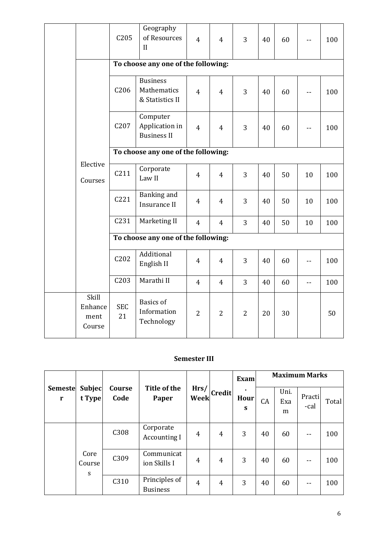|                                    | C205             | Geography<br>of Resources<br>II                   | $\overline{4}$ | $\overline{4}$ | 3              | 40 | 60 |     | 100 |
|------------------------------------|------------------|---------------------------------------------------|----------------|----------------|----------------|----|----|-----|-----|
|                                    |                  | To choose any one of the following:               |                |                |                |    |    |     |     |
|                                    | C <sub>206</sub> | <b>Business</b><br>Mathematics<br>& Statistics II | $\overline{4}$ | $\overline{4}$ | 3              | 40 | 60 |     | 100 |
|                                    | C207             | Computer<br>Application in<br><b>Business II</b>  | $\overline{4}$ | 4              | 3              | 40 | 60 |     | 100 |
|                                    |                  | To choose any one of the following:               |                |                |                |    |    |     |     |
| Elective<br>Courses                | C211             | Corporate<br>Law II                               | 4              | $\overline{4}$ | 3              | 40 | 50 | 10  | 100 |
|                                    | C221             | Banking and<br><b>Insurance II</b>                | $\overline{4}$ | 4              | 3              | 40 | 50 | 10  | 100 |
|                                    | C <sub>231</sub> | Marketing II                                      | $\overline{4}$ | $\overline{4}$ | 3              | 40 | 50 | 10  | 100 |
|                                    |                  | To choose any one of the following:               |                |                |                |    |    |     |     |
|                                    | C202             | Additional<br>English II                          | $\overline{4}$ | 4              | 3              | 40 | 60 | --  | 100 |
|                                    | C <sub>203</sub> | Marathi II                                        | $\overline{4}$ | $\overline{4}$ | 3              | 40 | 60 | $-$ | 100 |
| Skill<br>Enhance<br>ment<br>Course | <b>SEC</b><br>21 | <b>Basics</b> of<br>Information<br>Technology     | $\overline{2}$ | $\overline{2}$ | $\overline{2}$ | 20 | 30 |     | 50  |

#### **Semester III**

|                             |                         |                |                                  |              |                | <b>Exam</b>            | <b>Maximum Marks</b> |                  |                |       |  |
|-----------------------------|-------------------------|----------------|----------------------------------|--------------|----------------|------------------------|----------------------|------------------|----------------|-------|--|
| <b>Semeste</b><br>${\bf r}$ | <b>Subjec</b><br>t Type | Course<br>Code | Title of the<br>Paper            | Hrs/<br>Week | <b>Credit</b>  | $\bullet$<br>Hour<br>S | CA                   | Uni.<br>Exa<br>m | Practi<br>-cal | Total |  |
|                             |                         | C308           | Corporate<br><b>Accounting I</b> | 4            | $\overline{4}$ | 3                      | 40                   | 60               | --             | 100   |  |
|                             | Core<br>Course<br>S     | C309           | Communicat<br>ion Skills I       | 4            | 4              | 3                      | 40                   | 60               | --             | 100   |  |
|                             |                         | C310           | Principles of<br><b>Business</b> | 4            | 4              | 3                      | 40                   | 60               | --             | 100   |  |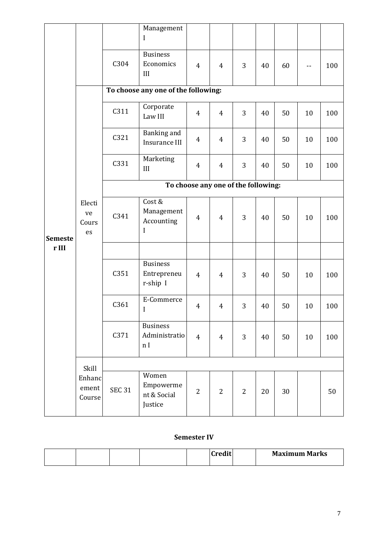|                |                             |                                     | Management<br>I                                    |                |                |                |    |    |    |     |  |  |
|----------------|-----------------------------|-------------------------------------|----------------------------------------------------|----------------|----------------|----------------|----|----|----|-----|--|--|
|                |                             | C304                                | <b>Business</b><br>Economics<br>III                | $\overline{4}$ | $\overline{4}$ | 3              | 40 | 60 |    | 100 |  |  |
|                |                             |                                     | To choose any one of the following:                |                |                |                |    |    |    |     |  |  |
|                |                             | C311                                | Corporate<br>Law III                               | $\overline{4}$ | $\overline{4}$ | 3              | 40 | 50 | 10 | 100 |  |  |
|                |                             | C321                                | Banking and<br>Insurance III                       | $\overline{4}$ | $\overline{4}$ | 3              | 40 | 50 | 10 | 100 |  |  |
| <b>Semeste</b> |                             | C331                                | Marketing<br>III                                   | $\overline{4}$ | $\overline{4}$ | 3              | 40 | 50 | 10 | 100 |  |  |
|                |                             | To choose any one of the following: |                                                    |                |                |                |    |    |    |     |  |  |
|                | Electi<br>ve<br>Cours<br>es | C341                                | Cost &<br>Management<br>Accounting<br>I            | 4              | $\overline{4}$ | 3              | 40 | 50 | 10 | 100 |  |  |
| r III          |                             |                                     |                                                    |                |                |                |    |    |    |     |  |  |
|                |                             | C351                                | <b>Business</b><br>Entrepreneu<br>r-ship I         | $\overline{4}$ | $\overline{4}$ | 3              | 40 | 50 | 10 | 100 |  |  |
|                |                             | C361                                | E-Commerce<br>I                                    | $\overline{4}$ | $\overline{4}$ | 3              | 40 | 50 | 10 | 100 |  |  |
|                |                             | C371                                | <b>Business</b><br>Administratio<br>n <sub>I</sub> | $\overline{4}$ | $\overline{4}$ | 3              | 40 | 50 | 10 | 100 |  |  |
|                | Skill                       |                                     |                                                    |                |                |                |    |    |    |     |  |  |
|                | Enhanc<br>ement<br>Course   | <b>SEC 31</b>                       | Women<br>Empowerme<br>nt & Social<br>Justice       | $\overline{2}$ | $\overline{2}$ | $\overline{2}$ | 20 | 30 |    | 50  |  |  |

#### **Semester IV**

|  |  | $-$ | <b>Maximum Marks</b> |
|--|--|-----|----------------------|
|  |  |     |                      |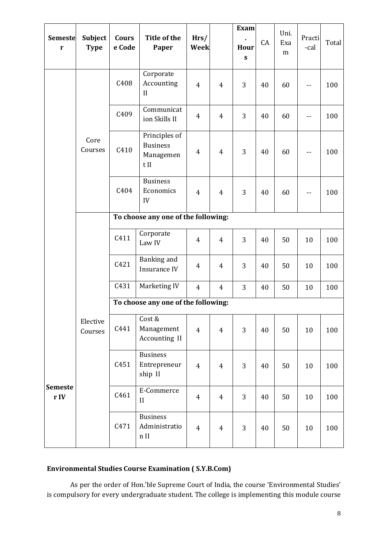| <b>Semeste</b><br>$\mathbf r$ | Subject<br><b>Type</b> | Cours<br>e Code  | Title of the<br>Paper                                 | Hrs/<br>Week   |                | <b>Exam</b><br>Hour<br>${\bf S}$ | CA | Uni.<br>Exa<br>m | Practi<br>-cal           | Total |
|-------------------------------|------------------------|------------------|-------------------------------------------------------|----------------|----------------|----------------------------------|----|------------------|--------------------------|-------|
|                               |                        | C408             | Corporate<br>Accounting<br>$\mathbf{I}$               | $\overline{4}$ | $\overline{4}$ | 3                                | 40 | 60               |                          | 100   |
|                               |                        | C409             | Communicat<br>ion Skills II                           | $\overline{4}$ | $\overline{4}$ | 3                                | 40 | 60               |                          | 100   |
|                               | Core<br>Courses        | C410             | Principles of<br><b>Business</b><br>Managemen<br>t II | $\overline{4}$ | $\overline{4}$ | 3                                | 40 | 60               | $\overline{\phantom{a}}$ | 100   |
|                               |                        | C404             | <b>Business</b><br>Economics<br>IV                    | $\overline{4}$ | $\overline{4}$ | 3                                | 40 | 60               | --                       | 100   |
|                               |                        |                  | To choose any one of the following:                   |                |                |                                  |    |                  |                          |       |
|                               |                        | C411             | Corporate<br>Law IV                                   | $\overline{4}$ | $\overline{4}$ | 3                                | 40 | 50               | 10                       | 100   |
|                               |                        | C421             | Banking and<br>Insurance IV                           | 4              | 4              | 3                                | 40 | 50               | 10                       | 100   |
|                               |                        | C431             | Marketing IV                                          | $\overline{4}$ | 4              | 3                                | 40 | 50               | 10                       | 100   |
|                               |                        |                  | To choose any one of the following:                   |                |                |                                  |    |                  |                          |       |
|                               | Elective<br>Courses    | C441             | Cost &<br>Management<br>Accounting II                 | $\overline{4}$ | $\overline{4}$ | 3                                | 40 | 50               | $10\,$                   | 100   |
| <b>Semeste</b><br>r IV        |                        | C451             | <b>Business</b><br>Entrepreneur<br>ship II            | $\overline{4}$ | $\overline{4}$ | 3                                | 40 | 50               | $10\,$                   | 100   |
|                               |                        | C <sub>461</sub> | E-Commerce<br>$\mathbf{I}$                            | $\overline{4}$ | $\overline{4}$ | 3                                | 40 | 50               | 10                       | 100   |
|                               |                        | C471             | <b>Business</b><br>Administratio<br>$n$ II            | $\overline{4}$ | $\overline{4}$ | 3                                | 40 | 50               | $10\,$                   | 100   |

# **Environmental Studies Course Examination ( S.Y.B.Com)**

As per the order of Hon.'ble Supreme Court of India, the course 'Environmental Studies' is compulsory for every undergraduate student. The college is implementing this module course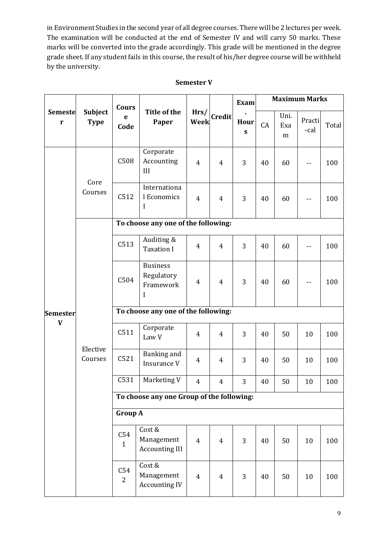in Environment Studies in the second year of all degree courses. There will be 2 lectures per week. The examination will be conducted at the end of Semester IV and will carry 50 marks. These marks will be converted into the grade accordingly. This grade will be mentioned in the degree grade sheet. If any student fails in this course, the result of his/her degree course will be withheld by the university.

|                     |                        | <b>Cours</b>          | <b>Title of the</b><br>Hrs/<br>Week<br>Paper    |                | <b>Exam</b>    | <b>Maximum Marks</b> |    |                  |                |       |  |
|---------------------|------------------------|-----------------------|-------------------------------------------------|----------------|----------------|----------------------|----|------------------|----------------|-------|--|
| <b>Semeste</b><br>r | Subject<br><b>Type</b> | e<br>Code             |                                                 |                | Credit         | Hour<br>${\bf S}$    | CA | Uni.<br>Exa<br>m | Practi<br>-cal | Total |  |
|                     | Core                   | C508                  | Corporate<br>Accounting<br>III                  | $\overline{4}$ | $\overline{4}$ | 3                    | 40 | 60               | --             | 100   |  |
|                     | Courses                | C512                  | Internationa<br>l Economics<br>I                | $\overline{4}$ | $\overline{4}$ | 3                    | 40 | 60               |                | 100   |  |
|                     |                        |                       | To choose any one of the following:             |                |                |                      |    |                  |                |       |  |
|                     |                        | C513                  | Auditing &<br><b>Taxation I</b>                 | $\overline{4}$ | $\overline{4}$ | 3                    | 40 | 60               |                | 100   |  |
|                     |                        | C504                  | <b>Business</b><br>Regulatory<br>Framework<br>I | $\overline{4}$ | $\overline{4}$ | 3                    | 40 | 60               |                | 100   |  |
| <b>Semester</b>     |                        |                       | To choose any one of the following:             |                |                |                      |    |                  |                |       |  |
| $\mathbf{V}$        |                        | C511                  | Corporate<br>Law V                              | $\overline{4}$ | $\overline{4}$ | 3                    | 40 | 50               | 10             | 100   |  |
|                     | Elective<br>Courses    | C521                  | Banking and<br>Insurance V                      | $\overline{4}$ | $\overline{4}$ | 3                    | 40 | 50               | 10             | 100   |  |
|                     |                        | C531                  | Marketing V                                     | $\overline{4}$ | 4              | 3                    | 40 | 50               | 10             | 100   |  |
|                     |                        |                       | To choose any one Group of the following:       |                |                |                      |    |                  |                |       |  |
|                     |                        | <b>Group A</b>        |                                                 |                |                |                      |    |                  |                |       |  |
|                     |                        | C54<br>$\mathbf{1}$   | Cost &<br>Management<br><b>Accounting III</b>   | $\overline{4}$ | $\overline{4}$ | 3                    | 40 | 50               | 10             | 100   |  |
|                     |                        | C54<br>$\overline{2}$ | Cost &<br>Management<br><b>Accounting IV</b>    | $\overline{4}$ | $\overline{4}$ | 3                    | 40 | 50               | 10             | 100   |  |

#### **Semester V**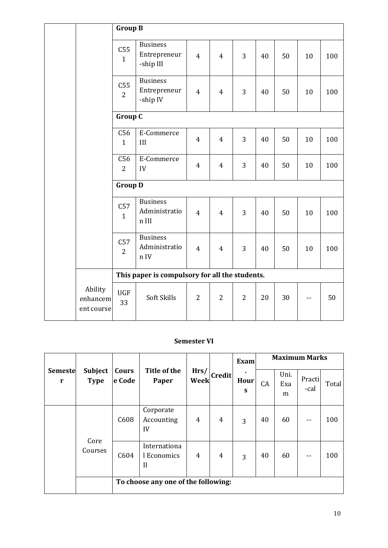|                                   |                         | <b>Group B</b>                                 |                |                |                |    |    |        |     |  |
|-----------------------------------|-------------------------|------------------------------------------------|----------------|----------------|----------------|----|----|--------|-----|--|
|                                   | C55<br>$\mathbf{1}$     | <b>Business</b><br>Entrepreneur<br>-ship III   | $\overline{4}$ | $\overline{4}$ | 3              | 40 | 50 | 10     | 100 |  |
|                                   | C55<br>$\boldsymbol{2}$ | <b>Business</b><br>Entrepreneur<br>-ship IV    | $\overline{4}$ | $\overline{4}$ | 3              | 40 | 50 | 10     | 100 |  |
|                                   | <b>Group C</b>          |                                                |                |                |                |    |    |        |     |  |
|                                   | C56<br>$\mathbf{1}$     | E-Commerce<br>III                              | 4              | $\overline{4}$ | 3              | 40 | 50 | 10     | 100 |  |
|                                   | C56<br>$\overline{2}$   | E-Commerce<br>IV                               | $\overline{4}$ | $\overline{4}$ | 3              | 40 | 50 | 10     | 100 |  |
|                                   | <b>Group D</b>          |                                                |                |                |                |    |    |        |     |  |
|                                   | C57<br>$\mathbf{1}$     | <b>Business</b><br>Administratio<br>n III      | $\overline{4}$ | $\overline{4}$ | 3              | 40 | 50 | 10     | 100 |  |
|                                   | C57<br>2                | <b>Business</b><br>Administratio<br>n IV       | $\overline{4}$ | $\overline{4}$ | 3              | 40 | 50 | $10\,$ | 100 |  |
|                                   |                         | This paper is compulsory for all the students. |                |                |                |    |    |        |     |  |
| Ability<br>enhancem<br>ent course | <b>UGF</b><br>33        | Soft Skills                                    | $\overline{2}$ | $\overline{2}$ | $\overline{2}$ | 20 | 30 |        | 50  |  |

### **Semester VI**

|                                |                               |                 |                                        |              |               | <b>Exam</b>                 | <b>Maximum Marks</b> |                  |                |       |  |
|--------------------------------|-------------------------------|-----------------|----------------------------------------|--------------|---------------|-----------------------------|----------------------|------------------|----------------|-------|--|
| <b>Semeste</b><br>$\mathbf{r}$ | <b>Subject</b><br><b>Type</b> | Cours<br>e Code | Title of the<br>Paper                  | Hrs/<br>Week | <b>Credit</b> | $\blacksquare$<br>Hour<br>S | CA                   | Uni.<br>Exa<br>m | Practi<br>-cal | Total |  |
|                                | Core<br>Courses               | C608            | Corporate<br>Accounting<br>IV          | 4            | 4             | 3                           | 40                   | 60               |                | 100   |  |
|                                |                               | C604            | Internationa<br>l Economics<br>$_{II}$ | 4            | 4             | 3                           | 40                   | 60               |                | 100   |  |
|                                |                               |                 | To choose any one of the following:    |              |               |                             |                      |                  |                |       |  |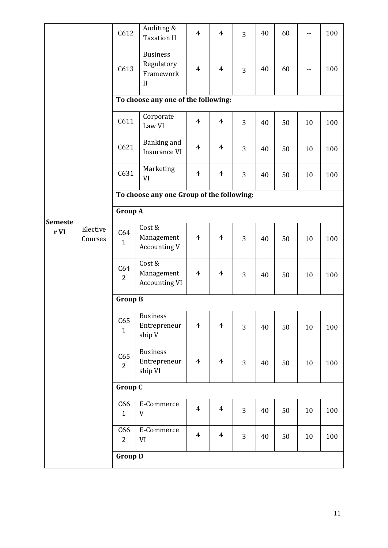|                        |                     | Auditing &<br>C612<br><b>Taxation II</b>                              |                                            | $\overline{4}$ | $\overline{4}$ | 3 | 40 | 60 |    | 100 |  |
|------------------------|---------------------|-----------------------------------------------------------------------|--------------------------------------------|----------------|----------------|---|----|----|----|-----|--|
|                        |                     | <b>Business</b><br>Regulatory<br>C613<br>Framework<br>II              |                                            | $\overline{4}$ | $\overline{4}$ | 3 | 40 | 60 |    | 100 |  |
|                        |                     | To choose any one of the following:                                   |                                            |                |                |   |    |    |    |     |  |
|                        |                     | C611                                                                  | Corporate<br>Law VI                        | $\overline{4}$ | $\overline{4}$ | 3 | 40 | 50 | 10 | 100 |  |
|                        |                     | C621                                                                  | Banking and<br>Insurance VI                | $\overline{4}$ | $\overline{4}$ | 3 | 40 | 50 | 10 | 100 |  |
|                        | Elective<br>Courses | C631                                                                  | Marketing<br>VI                            | $\overline{4}$ | $\overline{4}$ | 3 | 40 | 50 | 10 | 100 |  |
|                        |                     | To choose any one Group of the following:                             |                                            |                |                |   |    |    |    |     |  |
|                        |                     | <b>Group A</b>                                                        |                                            |                |                |   |    |    |    |     |  |
| <b>Semeste</b><br>r VI |                     | Cost &<br>C64<br>Management<br>$\mathbf{1}$<br><b>Accounting V</b>    |                                            | $\overline{4}$ | $\overline{4}$ | 3 | 40 | 50 | 10 | 100 |  |
|                        |                     | Cost &<br>C64<br>Management<br>$\overline{2}$<br><b>Accounting VI</b> |                                            | $\overline{4}$ | $\overline{4}$ | 3 | 40 | 50 | 10 | 100 |  |
|                        |                     | <b>Group B</b>                                                        |                                            |                |                |   |    |    |    |     |  |
|                        |                     | C65<br>$\mathbf{1}$                                                   | Business<br>Entrepreneur<br>ship V         |                | $\overline{4}$ | 3 | 40 | 50 | 10 | 100 |  |
|                        |                     | C65<br>$\overline{2}$                                                 | <b>Business</b><br>Entrepreneur<br>ship VI |                | $\overline{4}$ | 3 | 40 | 50 | 10 | 100 |  |
|                        |                     | Group C                                                               |                                            |                |                |   |    |    |    |     |  |
|                        |                     | C66<br>$\mathbf{1}$                                                   | E-Commerce<br>$\ensuremath{\mathsf{V}}$    |                | $\overline{4}$ | 3 | 40 | 50 | 10 | 100 |  |
|                        |                     | C66<br>$\overline{c}$                                                 | E-Commerce<br>VI                           | $\overline{4}$ | $\overline{4}$ | 3 | 40 | 50 | 10 | 100 |  |
|                        |                     | <b>Group D</b>                                                        |                                            |                |                |   |    |    |    |     |  |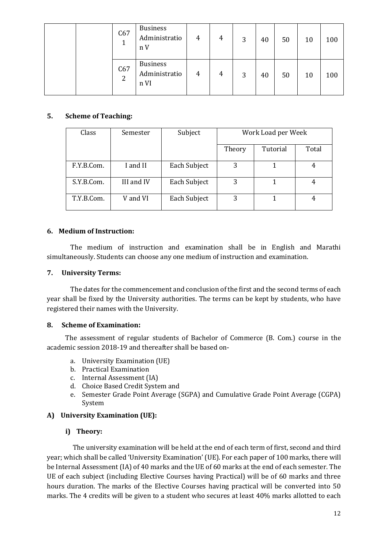|   | C67 | <b>Business</b><br>Administratio<br>n V  | 4 | 4 | 3 | 40 | 50 | 10 | 100 |
|---|-----|------------------------------------------|---|---|---|----|----|----|-----|
| 2 | C67 | <b>Business</b><br>Administratio<br>n VI | 4 | 4 | 3 | 40 | 50 | 10 | 100 |

#### **5. Scheme of Teaching:**

| Class      | Semester   | Subject      | Work Load per Week |          |       |
|------------|------------|--------------|--------------------|----------|-------|
|            |            |              | Theory             | Tutorial | Total |
| F.Y.B.Com. | I and II   | Each Subject | 3                  |          | 4     |
| S.Y.B.Com. | III and IV | Each Subject | 3                  |          | 4     |
| T.Y.B.Com. | V and VI   | Each Subject | 3                  |          |       |

#### **6. Medium of Instruction:**

The medium of instruction and examination shall be in English and Marathi simultaneously. Students can choose any one medium of instruction and examination.

#### **7. University Terms:**

The dates for the commencement and conclusion of the first and the second terms of each year shall be fixed by the University authorities. The terms can be kept by students, who have registered their names with the University.

#### **8. Scheme of Examination:**

The assessment of regular students of Bachelor of Commerce (B. Com.) course in the academic session 2018-19 and thereafter shall be based on-

- a. University Examination (UE)
- b. Practical Examination
- c. Internal Assessment (IA)
- d. Choice Based Credit System and
- e. Semester Grade Point Average (SGPA) and Cumulative Grade Point Average (CGPA) System

### **A) University Examination (UE):**

### **i) Theory:**

The university examination will be held at the end of each term of first, second and third year; which shall be called 'University Examination' (UE). For each paper of 100 marks, there will be Internal Assessment (IA) of 40 marks and the UE of 60 marks at the end of each semester. The UE of each subject (including Elective Courses having Practical) will be of 60 marks and three hours duration. The marks of the Elective Courses having practical will be converted into 50 marks. The 4 credits will be given to a student who secures at least 40% marks allotted to each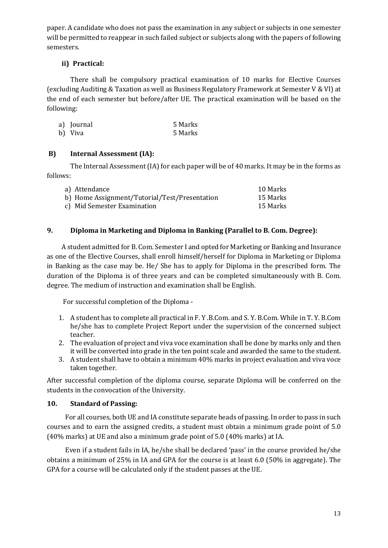paper. A candidate who does not pass the examination in any subject or subjects in one semester will be permitted to reappear in such failed subject or subjects along with the papers of following semesters.

### **ii) Practical:**

There shall be compulsory practical examination of 10 marks for Elective Courses (excluding Auditing & Taxation as well as Business Regulatory Framework at Semester V & VI) at the end of each semester but before/after UE. The practical examination will be based on the following:

| a) Journal | 5 Marks |
|------------|---------|
| b) Viva    | 5 Marks |

### **B) Internal Assessment (IA):**

The Internal Assessment (IA) for each paper will be of 40 marks. It may be in the forms as follows:

| a) Attendance                                 | 10 Marks |
|-----------------------------------------------|----------|
| b) Home Assignment/Tutorial/Test/Presentation | 15 Marks |
| c) Mid Semester Examination                   | 15 Marks |

### **9. Diploma in Marketing and Diploma in Banking (Parallel to B. Com. Degree):**

A student admitted for B. Com. Semester I and opted for Marketing or Banking and Insurance as one of the Elective Courses, shall enroll himself/herself for Diploma in Marketing or Diploma in Banking as the case may be. He/ She has to apply for Diploma in the prescribed form. The duration of the Diploma is of three years and can be completed simultaneously with B. Com. degree. The medium of instruction and examination shall be English.

For successful completion of the Diploma -

- 1. A student has to complete all practical in F. Y .B.Com. and S. Y. B.Com. While in T. Y. B.Com he/she has to complete Project Report under the supervision of the concerned subject teacher.
- 2. The evaluation of project and viva voce examination shall be done by marks only and then it will be converted into grade in the ten point scale and awarded the same to the student.
- 3. A student shall have to obtain a minimum 40% marks in project evaluation and viva voce taken together.

After successful completion of the diploma course, separate Diploma will be conferred on the students in the convocation of the University.

#### **10. Standard of Passing:**

For all courses, both UE and IA constitute separate heads of passing. In order to pass in such courses and to earn the assigned credits, a student must obtain a minimum grade point of 5.0 (40% marks) at UE and also a minimum grade point of 5.0 (40% marks) at IA.

Even if a student fails in IA, he/she shall be declared 'pass' in the course provided he/she obtains a minimum of 25% in IA and GPA for the course is at least 6.0 (50% in aggregate). The GPA for a course will be calculated only if the student passes at the UE.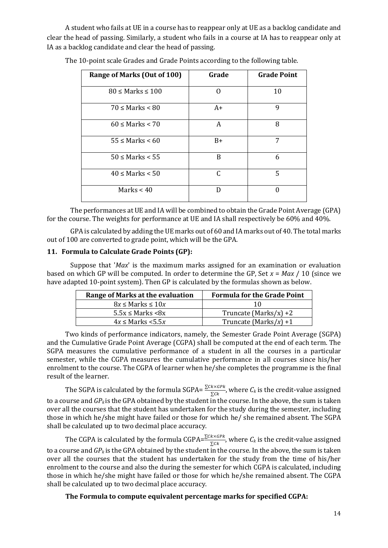A student who fails at UE in a course has to reappear only at UE as a backlog candidate and clear the head of passing. Similarly, a student who fails in a course at IA has to reappear only at IA as a backlog candidate and clear the head of passing.

| Range of Marks (Out of 100) | Grade | <b>Grade Point</b> |
|-----------------------------|-------|--------------------|
| $80 \leq$ Marks $\leq 100$  |       | 10                 |
| $70 \leq$ Marks $\leq 80$   | $A+$  | 9                  |
| $60 \leq$ Marks $< 70$      | A     | 8                  |
| $55 \leq$ Marks $\leq 60$   | $B+$  | 7                  |
| $50 \leq$ Marks $\leq 55$   | B     | 6                  |
| $40 \leq$ Marks $< 50$      | C     | 5                  |
| Marks $< 40$                | D     |                    |

The 10-point scale Grades and Grade Points according to the following table.

The performances at UE and IA will be combined to obtain the Grade Point Average (GPA) for the course. The weights for performance at UE and IA shall respectively be 60% and 40%.

GPA is calculated by adding the UE marks out of 60 and IA marks out of 40. The total marks out of 100 are converted to grade point, which will be the GPA.

#### **11. Formula to Calculate Grade Points (GP):**

Suppose that '*Max*' is the maximum marks assigned for an examination or evaluation based on which GP will be computed. In order to determine the GP, Set *x* = *Max* / 10 (since we have adapted 10-point system). Then GP is calculated by the formulas shown as below.

| Range of Marks at the evaluation | <b>Formula for the Grade Point</b> |
|----------------------------------|------------------------------------|
| $8x \leq$ Marks $\leq 10x$       | 10                                 |
| $5.5x \leq$ Marks $\leq 8x$      | Truncate (Marks/x) +2              |
| $4x \leq$ Marks $\lt 5.5x$       | Truncate (Marks/x) +1              |
|                                  |                                    |

Two kinds of performance indicators, namely, the Semester Grade Point Average (SGPA) and the Cumulative Grade Point Average (CGPA) shall be computed at the end of each term. The SGPA measures the cumulative performance of a student in all the courses in a particular semester, while the CGPA measures the cumulative performance in all courses since his/her enrolment to the course. The CGPA of learner when he/she completes the programme is the final result of the learner.

The SGPA is calculated by the formula SGPA=  $\frac{\sum Ck \times GPK}{\sum Ck}$ , where  $C_k$  is the credit-value assigned to a course and *GPk* is the GPA obtained by the student in the course. In the above, the sum is taken over all the courses that the student has undertaken for the study during the semester, including those in which he/she might have failed or those for which he/ she remained absent. The SGPA shall be calculated up to two decimal place accuracy.

The CGPA is calculated by the formula CGPA= $\frac{\sum Ck \times GPK}{\sum Ck}$ , where  $C_k$  is the credit-value assigned to a course and *GP<sup>k</sup>* is the GPA obtained by the student in the course. In the above, the sum is taken over all the courses that the student has undertaken for the study from the time of his/her enrolment to the course and also the during the semester for which CGPA is calculated, including those in which he/she might have failed or those for which he/she remained absent. The CGPA shall be calculated up to two decimal place accuracy.

**The Formula to compute equivalent percentage marks for specified CGPA:**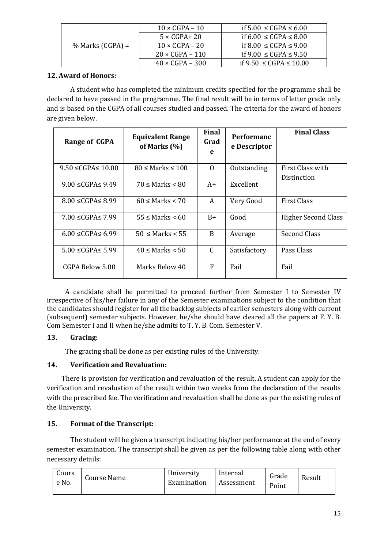|                    | $10 \times CGPA - 10$  | if $5.00 \leq CGPA \leq 6.00$   |  |  |
|--------------------|------------------------|---------------------------------|--|--|
|                    | $5 \times CGPA + 20$   | if 6.00 ≤ CGPA ≤ 8.00           |  |  |
| $%$ Marks (CGPA) = | $10 \times CGPA - 20$  | if 8.00 $\leq$ CGPA $\leq$ 9.00 |  |  |
|                    | $20 \times CGPA - 110$ | if $9.00 \leq CGPA \leq 9.50$   |  |  |
|                    | $40 \times CGPA - 300$ | if 9.50 ≤ CGPA ≤ 10.00          |  |  |

### **12. Award of Honors:**

A student who has completed the minimum credits specified for the programme shall be declared to have passed in the programme. The final result will be in terms of letter grade only and is based on the CGPA of all courses studied and passed. The criteria for the award of honors are given below.

| Range of CGPA               | <b>Equivalent Range</b><br>of Marks (%) | Final<br>Grad<br>e | <b>Performanc</b><br>e Descriptor | <b>Final Class</b>              |  |
|-----------------------------|-----------------------------------------|--------------------|-----------------------------------|---------------------------------|--|
| $9.50 \leq CGPA \leq 10.00$ | $80 \leq$ Marks $\leq 100$              | $\Omega$           | Outstanding                       | First Class with<br>Distinction |  |
| $9.00 \le CGPAS$ 9.49       | $70 \leq$ Marks $\leq 80$               |                    | Excellent                         |                                 |  |
| $8.00 \leq CGPA \leq 8.99$  | $60 \leq$ Marks $< 70$                  | A                  | Very Good                         | <b>First Class</b>              |  |
| $7.00 \le CGPA \le 7.99$    | $55 \leq$ Marks $\leq 60$               | $B+$               | Good                              | <b>Higher Second Class</b>      |  |
| $6.00 \leq CGPA \leq 6.99$  | $50 \leq$ Marks $\leq 55$               | <sub>B</sub>       | Average                           | Second Class                    |  |
| $5.00 \leq CGPA \leq 5.99$  | $40 \leq$ Marks $< 50$                  | C                  | Satisfactory                      | Pass Class                      |  |
| CGPA Below 5.00             | Marks Below 40                          | F                  | Fail                              | Fail                            |  |

A candidate shall be permitted to proceed further from Semester I to Semester IV irrespective of his/her failure in any of the Semester examinations subject to the condition that the candidates should register for all the backlog subjects of earlier semesters along with current (subsequent) semester subjects. However, he/she should have cleared all the papers at F. Y. B. Com Semester I and II when he/she admits to T. Y. B. Com. Semester V.

### **13. Gracing:**

The gracing shall be done as per existing rules of the University.

# **14. Verification and Revaluation:**

There is provision for verification and revaluation of the result. A student can apply for the verification and revaluation of the result within two weeks from the declaration of the results with the prescribed fee. The verification and revaluation shall be done as per the existing rules of the University.

# **15. Format of the Transcript:**

The student will be given a transcript indicating his/her performance at the end of every semester examination. The transcript shall be given as per the following table along with other necessary details:

| Cours<br>e No. | <b>Course Name</b> |  | University<br>Examination | Internal<br>Assessment | Grade<br>Point | Result |
|----------------|--------------------|--|---------------------------|------------------------|----------------|--------|
|----------------|--------------------|--|---------------------------|------------------------|----------------|--------|